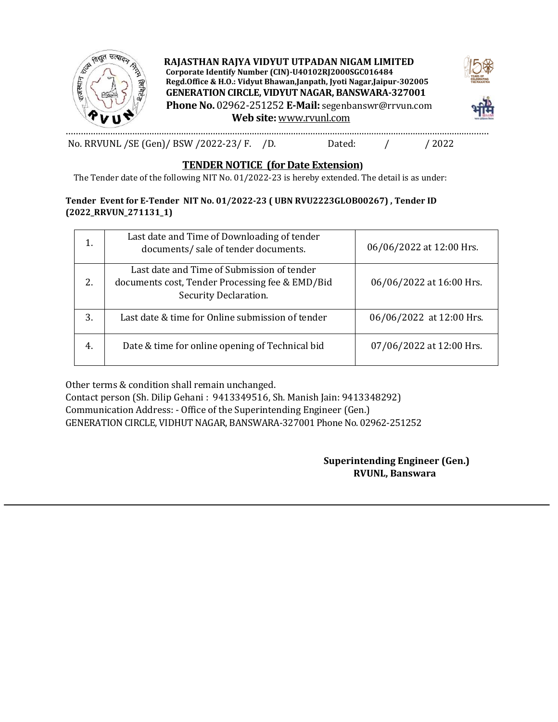

**RAJASTHAN RAJYA VIDYUT UTPADAN NIGAM LIMITED Corporate Identify Number (CIN)-U40102RJ2000SGC016484 Regd.Office & H.O.: Vidyut Bhawan,Janpath, Jyoti Nagar,Jaipur-302005 GENERATION CIRCLE, VIDYUT NAGAR, BANSWARA-327001 Phone No.** 02962-251252 **E-Mail:** segenbanswr@rrvun.com **Web site:** www.rvunl.com



.........…………………………………………………………………………………………………………………………………………........ No. RRVUNL /SE (Gen)/ BSW /2022-23/ F. /D. Dated: / / 2022

### **TENDER NOTICE (for Date Extension)**

The Tender date of the following NIT No. 01/2022-23 is hereby extended. The detail is as under:

#### **Tender Event for E-Tender NIT No. 01/2022-23 ( UBN RVU2223GLOB00267) , Tender ID (2022\_RRVUN\_271131\_1)**

| 1. | Last date and Time of Downloading of tender<br>documents/ sale of tender documents.                                    | 06/06/2022 at 12:00 Hrs. |
|----|------------------------------------------------------------------------------------------------------------------------|--------------------------|
| 2. | Last date and Time of Submission of tender<br>documents cost, Tender Processing fee & EMD/Bid<br>Security Declaration. | 06/06/2022 at 16:00 Hrs. |
| 3. | Last date & time for Online submission of tender                                                                       | 06/06/2022 at 12:00 Hrs. |
| 4. | Date & time for online opening of Technical bid                                                                        | 07/06/2022 at 12:00 Hrs. |

Other terms & condition shall remain unchanged.

Contact person (Sh. Dilip Gehani : 9413349516, Sh. Manish Jain: 9413348292) Communication Address: - Office of the Superintending Engineer (Gen.) GENERATION CIRCLE, VIDHUT NAGAR, BANSWARA-327001 Phone No. 02962-251252

> **Superintending Engineer (Gen.) RVUNL, Banswara**